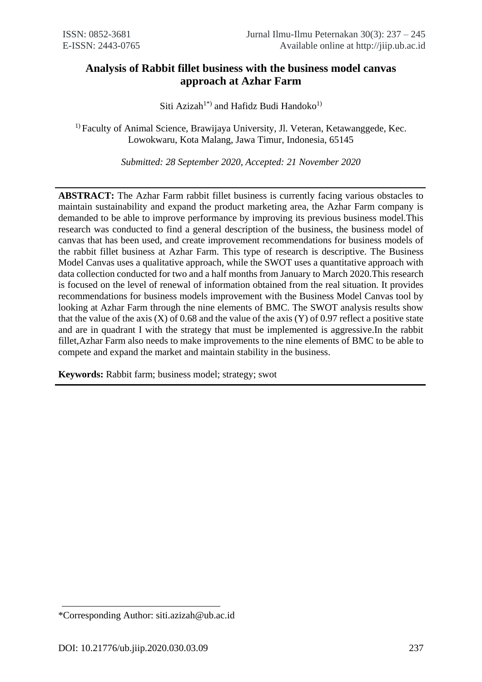# **Analysis of Rabbit fillet business with the business model canvas approach at Azhar Farm**

Siti Azizah<sup>1\*)</sup> and Hafidz Budi Handoko<sup>1)</sup>

<sup>1)</sup> Faculty of Animal Science, Brawijaya University, Jl. Veteran, Ketawanggede, Kec. Lowokwaru, Kota Malang, Jawa Timur, Indonesia, 65145

*Submitted: 28 September 2020, Accepted: 21 November 2020*

**ABSTRACT:** The Azhar Farm rabbit fillet business is currently facing various obstacles to maintain sustainability and expand the product marketing area, the Azhar Farm company is demanded to be able to improve performance by improving its previous business model.This research was conducted to find a general description of the business, the business model of canvas that has been used, and create improvement recommendations for business models of the rabbit fillet business at Azhar Farm. This type of research is descriptive. The Business Model Canvas uses a qualitative approach, while the SWOT uses a quantitative approach with data collection conducted for two and a half months from January to March 2020.This research is focused on the level of renewal of information obtained from the real situation. It provides recommendations for business models improvement with the Business Model Canvas tool by looking at Azhar Farm through the nine elements of BMC. The SWOT analysis results show that the value of the axis  $(X)$  of 0.68 and the value of the axis  $(Y)$  of 0.97 reflect a positive state and are in quadrant I with the strategy that must be implemented is aggressive.In the rabbit fillet,Azhar Farm also needs to make improvements to the nine elements of BMC to be able to compete and expand the market and maintain stability in the business.

**Keywords:** Rabbit farm; business model; strategy; swot

<sup>\*</sup>Corresponding Author: siti.azizah@ub.ac.id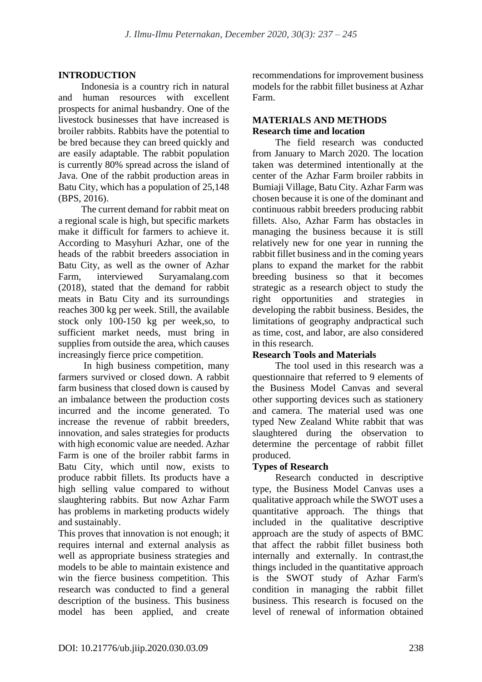## **INTRODUCTION**

Indonesia is a country rich in natural and human resources with excellent prospects for animal husbandry. One of the livestock businesses that have increased is broiler rabbits. Rabbits have the potential to be bred because they can breed quickly and are easily adaptable. The rabbit population is currently 80% spread across the island of Java. One of the rabbit production areas in Batu City, which has a population of 25,148 (BPS, 2016).

The current demand for rabbit meat on a regional scale is high, but specific markets make it difficult for farmers to achieve it. According to Masyhuri Azhar, one of the heads of the rabbit breeders association in Batu City, as well as the owner of Azhar Farm, interviewed Suryamalang.com (2018), stated that the demand for rabbit meats in Batu City and its surroundings reaches 300 kg per week. Still, the available stock only 100-150 kg per week,so, to sufficient market needs, must bring in supplies from outside the area, which causes increasingly fierce price competition.

In high business competition, many farmers survived or closed down. A rabbit farm business that closed down is caused by an imbalance between the production costs incurred and the income generated. To increase the revenue of rabbit breeders, innovation, and sales strategies for products with high economic value are needed. Azhar Farm is one of the broiler rabbit farms in Batu City, which until now, exists to produce rabbit fillets. Its products have a high selling value compared to without slaughtering rabbits. But now Azhar Farm has problems in marketing products widely and sustainably.

This proves that innovation is not enough; it requires internal and external analysis as well as appropriate business strategies and models to be able to maintain existence and win the fierce business competition. This research was conducted to find a general description of the business. This business model has been applied, and create recommendations for improvement business models for the rabbit fillet business at Azhar Farm.

## **MATERIALS AND METHODS Research time and location**

The field research was conducted from January to March 2020. The location taken was determined intentionally at the center of the Azhar Farm broiler rabbits in Bumiaji Village, Batu City. Azhar Farm was chosen because it is one of the dominant and continuous rabbit breeders producing rabbit fillets. Also, Azhar Farm has obstacles in managing the business because it is still relatively new for one year in running the rabbit fillet business and in the coming years plans to expand the market for the rabbit breeding business so that it becomes strategic as a research object to study the right opportunities and strategies in developing the rabbit business. Besides, the limitations of geography andpractical such as time, cost, and labor, are also considered in this research.

## **Research Tools and Materials**

The tool used in this research was a questionnaire that referred to 9 elements of the Business Model Canvas and several other supporting devices such as stationery and camera. The material used was one typed New Zealand White rabbit that was slaughtered during the observation to determine the percentage of rabbit fillet produced.

## **Types of Research**

Research conducted in descriptive type, the Business Model Canvas uses a qualitative approach while the SWOT uses a quantitative approach. The things that included in the qualitative descriptive approach are the study of aspects of BMC that affect the rabbit fillet business both internally and externally. In contrast,the things included in the quantitative approach is the SWOT study of Azhar Farm's condition in managing the rabbit fillet business. This research is focused on the level of renewal of information obtained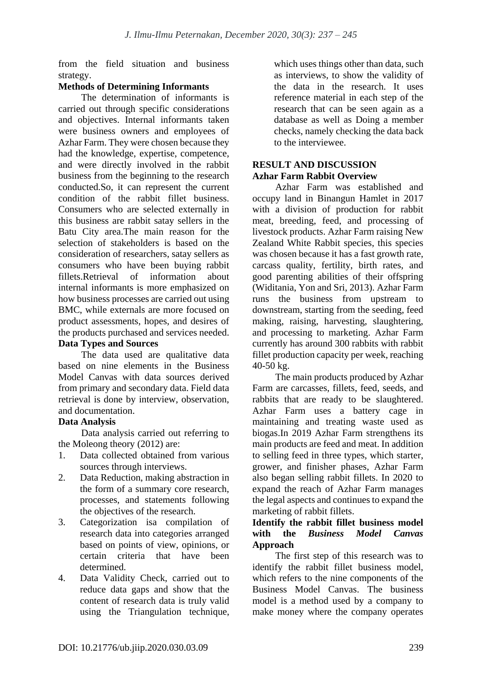from the field situation and business strategy.

## **Methods of Determining Informants**

The determination of informants is carried out through specific considerations and objectives. Internal informants taken were business owners and employees of Azhar Farm. They were chosen because they had the knowledge, expertise, competence, and were directly involved in the rabbit business from the beginning to the research conducted.So, it can represent the current condition of the rabbit fillet business. Consumers who are selected externally in this business are rabbit satay sellers in the Batu City area.The main reason for the selection of stakeholders is based on the consideration of researchers, satay sellers as consumers who have been buying rabbit fillets.Retrieval of information about internal informants is more emphasized on how business processes are carried out using BMC, while externals are more focused on product assessments, hopes, and desires of the products purchased and services needed. **Data Types and Sources**

The data used are qualitative data based on nine elements in the Business Model Canvas with data sources derived from primary and secondary data. Field data retrieval is done by interview, observation, and documentation.

# **Data Analysis**

Data analysis carried out referring to the Moleong theory (2012) are:

- 1. Data collected obtained from various sources through interviews.
- 2. Data Reduction, making abstraction in the form of a summary core research, processes, and statements following the objectives of the research.
- 3. Categorization isa compilation of research data into categories arranged based on points of view, opinions, or certain criteria that have been determined.
- 4. Data Validity Check, carried out to reduce data gaps and show that the content of research data is truly valid using the Triangulation technique,

which uses things other than data, such as interviews, to show the validity of the data in the research. It uses reference material in each step of the research that can be seen again as a database as well as Doing a member checks, namely checking the data back to the interviewee.

## **RESULT AND DISCUSSION Azhar Farm Rabbit Overview**

Azhar Farm was established and occupy land in Binangun Hamlet in 2017 with a division of production for rabbit meat, breeding, feed, and processing of livestock products. Azhar Farm raising New Zealand White Rabbit species, this species was chosen because it has a fast growth rate, carcass quality, fertility, birth rates, and good parenting abilities of their offspring (Widitania, Yon and Sri, 2013). Azhar Farm runs the business from upstream to downstream, starting from the seeding, feed making, raising, harvesting, slaughtering, and processing to marketing. Azhar Farm currently has around 300 rabbits with rabbit fillet production capacity per week, reaching 40-50 kg.

The main products produced by Azhar Farm are carcasses, fillets, feed, seeds, and rabbits that are ready to be slaughtered. Azhar Farm uses a battery cage in maintaining and treating waste used as biogas.In 2019 Azhar Farm strengthens its main products are feed and meat. In addition to selling feed in three types, which starter, grower, and finisher phases, Azhar Farm also began selling rabbit fillets. In 2020 to expand the reach of Azhar Farm manages the legal aspects and continues to expand the marketing of rabbit fillets.

#### **Identify the rabbit fillet business model with the** *Business Model Canvas*  **Approach**

The first step of this research was to identify the rabbit fillet business model, which refers to the nine components of the Business Model Canvas. The business model is a method used by a company to make money where the company operates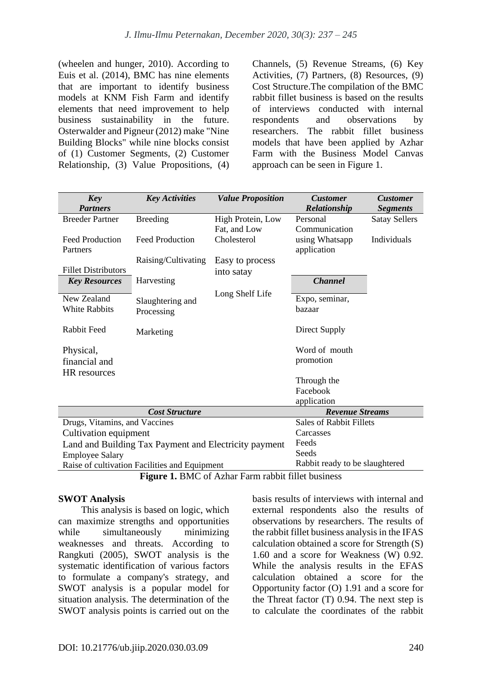(wheelen and hunger, 2010). According to Euis et al. (2014), BMC has nine elements that are important to identify business models at KNM Fish Farm and identify elements that need improvement to help business sustainability in the future. Osterwalder and Pigneur (2012) make "Nine Building Blocks" while nine blocks consist of (1) Customer Segments, (2) Customer Relationship, (3) Value Propositions, (4) Channels, (5) Revenue Streams, (6) Key Activities, (7) Partners, (8) Resources, (9) Cost Structure.The compilation of the BMC rabbit fillet business is based on the results of interviews conducted with internal respondents and observations by researchers. The rabbit fillet business models that have been applied by Azhar Farm with the Business Model Canvas approach can be seen in Figure 1.

| <b>Key</b>                                            | <b>Key Activities</b>  | <b>Value Proposition</b> | <b>Customer</b>                | <b>Customer</b>      |
|-------------------------------------------------------|------------------------|--------------------------|--------------------------------|----------------------|
| <b>Partners</b>                                       |                        |                          | Relationship                   | <b>Segments</b>      |
| <b>Breeder Partner</b>                                | <b>Breeding</b>        | High Protein, Low        | Personal                       | <b>Satay Sellers</b> |
|                                                       |                        | Fat, and Low             | Communication                  |                      |
| <b>Feed Production</b>                                | <b>Feed Production</b> | Cholesterol              | using Whatsapp                 | Individuals          |
| Partners                                              |                        |                          | application                    |                      |
|                                                       | Raising/Cultivating    | Easy to process          |                                |                      |
| <b>Fillet Distributors</b>                            |                        | into satay               |                                |                      |
| <b>Key Resources</b>                                  | Harvesting             |                          | <b>Channel</b>                 |                      |
| New Zealand                                           |                        | Long Shelf Life          | Expo, seminar,                 |                      |
| <b>White Rabbits</b>                                  | Slaughtering and       |                          | bazaar                         |                      |
|                                                       | Processing             |                          |                                |                      |
| Rabbit Feed                                           | Marketing              |                          | Direct Supply                  |                      |
|                                                       |                        |                          |                                |                      |
| Physical,                                             |                        |                          | Word of mouth                  |                      |
| financial and                                         |                        |                          | promotion                      |                      |
| HR resources                                          |                        |                          |                                |                      |
|                                                       |                        |                          | Through the                    |                      |
|                                                       |                        |                          | Facebook                       |                      |
|                                                       |                        |                          | application                    |                      |
| <b>Cost Structure</b>                                 |                        |                          | <b>Revenue Streams</b>         |                      |
| Drugs, Vitamins, and Vaccines                         |                        |                          | Sales of Rabbit Fillets        |                      |
| Cultivation equipment                                 |                        |                          | Carcasses                      |                      |
| Land and Building Tax Payment and Electricity payment |                        |                          | Feeds                          |                      |
| <b>Employee Salary</b>                                |                        |                          | Seeds                          |                      |
| Raise of cultivation Facilities and Equipment         |                        |                          | Rabbit ready to be slaughtered |                      |

**Figure 1.** BMC of Azhar Farm rabbit fillet business

## **SWOT Analysis**

This analysis is based on logic, which can maximize strengths and opportunities while simultaneously minimizing weaknesses and threats. According to Rangkuti (2005), SWOT analysis is the systematic identification of various factors to formulate a company's strategy, and SWOT analysis is a popular model for situation analysis. The determination of the SWOT analysis points is carried out on the basis results of interviews with internal and external respondents also the results of observations by researchers. The results of the rabbit fillet business analysis in the IFAS calculation obtained a score for Strength (S) 1.60 and a score for Weakness (W) 0.92. While the analysis results in the EFAS calculation obtained a score for the Opportunity factor (O) 1.91 and a score for the Threat factor (T) 0.94. The next step is to calculate the coordinates of the rabbit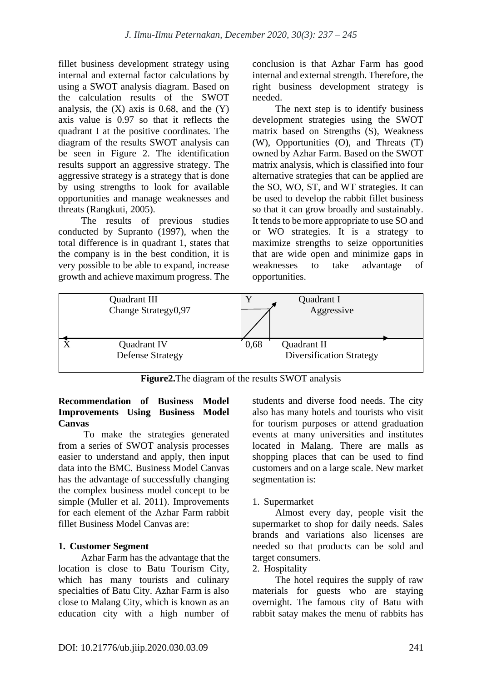fillet business development strategy using internal and external factor calculations by using a SWOT analysis diagram. Based on the calculation results of the SWOT analysis, the  $(X)$  axis is 0.68, and the  $(Y)$ axis value is 0.97 so that it reflects the quadrant I at the positive coordinates. The diagram of the results SWOT analysis can be seen in Figure 2. The identification results support an aggressive strategy. The aggressive strategy is a strategy that is done by using strengths to look for available opportunities and manage weaknesses and threats (Rangkuti, 2005).

The results of previous studies conducted by Supranto (1997), when the total difference is in quadrant 1, states that the company is in the best condition, it is very possible to be able to expand, increase growth and achieve maximum progress. The conclusion is that Azhar Farm has good internal and external strength. Therefore, the right business development strategy is needed.

The next step is to identify business development strategies using the SWOT matrix based on Strengths (S), Weakness (W), Opportunities (O), and Threats (T) owned by Azhar Farm. Based on the SWOT matrix analysis, which is classified into four alternative strategies that can be applied are the SO, WO, ST, and WT strategies. It can be used to develop the rabbit fillet business so that it can grow broadly and sustainably. It tends to be more appropriate to use SO and or WO strategies. It is a strategy to maximize strengths to seize opportunities that are wide open and minimize gaps in weaknesses to take advantage of opportunities.



**Figure2.**The diagram of the results SWOT analysis

## **Recommendation of Business Model Improvements Using Business Model Canvas**

To make the strategies generated from a series of SWOT analysis processes easier to understand and apply, then input data into the BMC*.* Business Model Canvas has the advantage of successfully changing the complex business model concept to be simple (Muller et al. 2011). Improvements for each element of the Azhar Farm rabbit fillet Business Model Canvas are:

# **1. Customer Segment**

Azhar Farm has the advantage that the location is close to Batu Tourism City, which has many tourists and culinary specialties of Batu City. Azhar Farm is also close to Malang City, which is known as an education city with a high number of students and diverse food needs. The city also has many hotels and tourists who visit for tourism purposes or attend graduation events at many universities and institutes located in Malang. There are malls as shopping places that can be used to find customers and on a large scale. New market segmentation is:

# 1. Supermarket

Almost every day, people visit the supermarket to shop for daily needs. Sales brands and variations also licenses are needed so that products can be sold and target consumers.

# 2. Hospitality

The hotel requires the supply of raw materials for guests who are staying overnight. The famous city of Batu with rabbit satay makes the menu of rabbits has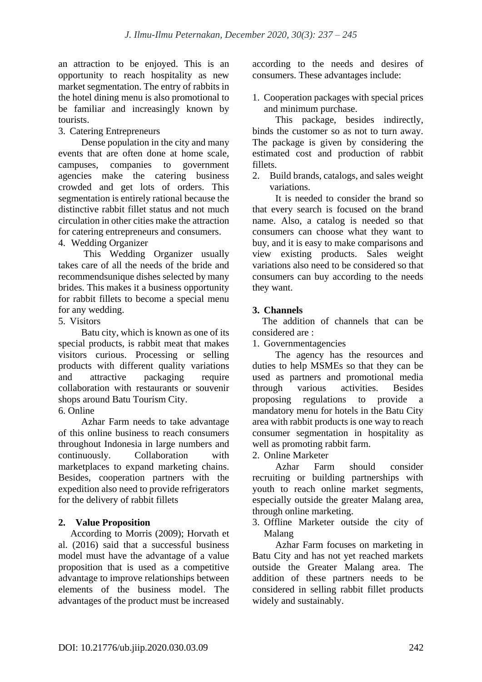an attraction to be enjoyed. This is an opportunity to reach hospitality as new market segmentation. The entry of rabbits in the hotel dining menu is also promotional to be familiar and increasingly known by tourists.

3. Catering Entrepreneurs

Dense population in the city and many events that are often done at home scale, campuses, companies to government agencies make the catering business crowded and get lots of orders. This segmentation is entirely rational because the distinctive rabbit fillet status and not much circulation in other cities make the attraction for catering entrepreneurs and consumers.

4. Wedding Organizer

This Wedding Organizer usually takes care of all the needs of the bride and recommendsunique dishes selected by many brides. This makes it a business opportunity for rabbit fillets to become a special menu for any wedding.

5. Visitors

Batu city, which is known as one of its special products, is rabbit meat that makes visitors curious. Processing or selling products with different quality variations and attractive packaging require collaboration with restaurants or souvenir shops around Batu Tourism City.

6. Online

Azhar Farm needs to take advantage of this online business to reach consumers throughout Indonesia in large numbers and continuously. Collaboration with marketplaces to expand marketing chains. Besides, cooperation partners with the expedition also need to provide refrigerators for the delivery of rabbit fillets

## **2. Value Proposition**

 According to Morris (2009); Horvath et al. (2016) said that a successful business model must have the advantage of a value proposition that is used as a competitive advantage to improve relationships between elements of the business model. The advantages of the product must be increased according to the needs and desires of consumers. These advantages include:

1. Cooperation packages with special prices and minimum purchase.

This package, besides indirectly, binds the customer so as not to turn away. The package is given by considering the estimated cost and production of rabbit fillets.

2. Build brands, catalogs, and sales weight variations.

It is needed to consider the brand so that every search is focused on the brand name. Also, a catalog is needed so that consumers can choose what they want to buy, and it is easy to make comparisons and view existing products. Sales weight variations also need to be considered so that consumers can buy according to the needs they want.

# **3. Channels**

 The addition of channels that can be considered are :

1. Governmentagencies

The agency has the resources and duties to help MSMEs so that they can be used as partners and promotional media through various activities. Besides proposing regulations to provide a mandatory menu for hotels in the Batu City area with rabbit products is one way to reach consumer segmentation in hospitality as well as promoting rabbit farm.

2. Online Marketer

Azhar Farm should consider recruiting or building partnerships with youth to reach online market segments, especially outside the greater Malang area, through online marketing.

3. Offline Marketer outside the city of Malang

Azhar Farm focuses on marketing in Batu City and has not yet reached markets outside the Greater Malang area. The addition of these partners needs to be considered in selling rabbit fillet products widely and sustainably.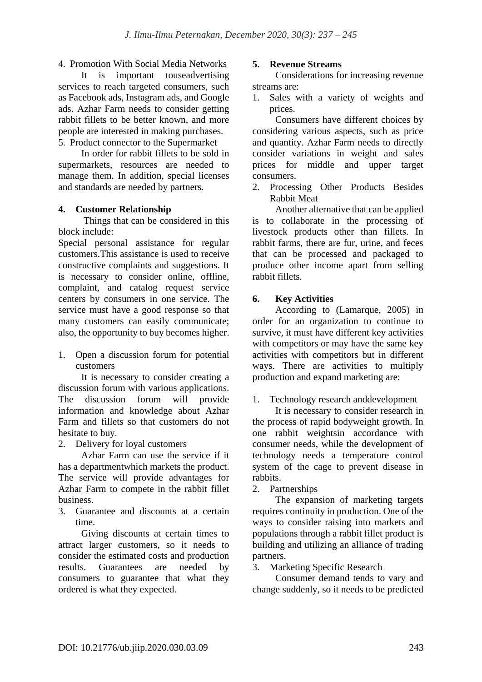4. Promotion With Social Media Networks

It is important touseadvertising services to reach targeted consumers, such as Facebook ads, Instagram ads, and Google ads. Azhar Farm needs to consider getting rabbit fillets to be better known, and more people are interested in making purchases. 5. Product connector to the Supermarket

In order for rabbit fillets to be sold in supermarkets, resources are needed to manage them. In addition, special licenses and standards are needed by partners.

## **4. Customer Relationship**

Things that can be considered in this block include:

Special personal assistance for regular customers.This assistance is used to receive constructive complaints and suggestions. It is necessary to consider online, offline, complaint, and catalog request service centers by consumers in one service. The service must have a good response so that many customers can easily communicate; also, the opportunity to buy becomes higher.

1. Open a discussion forum for potential customers

It is necessary to consider creating a discussion forum with various applications. The discussion forum will provide information and knowledge about Azhar Farm and fillets so that customers do not hesitate to buy.

2. Delivery for loyal customers

Azhar Farm can use the service if it has a departmentwhich markets the product. The service will provide advantages for Azhar Farm to compete in the rabbit fillet business.

3. Guarantee and discounts at a certain time.

Giving discounts at certain times to attract larger customers, so it needs to consider the estimated costs and production results. Guarantees are needed by consumers to guarantee that what they ordered is what they expected.

#### **5. Revenue Streams**

Considerations for increasing revenue streams are:

1. Sales with a variety of weights and prices.

Consumers have different choices by considering various aspects, such as price and quantity. Azhar Farm needs to directly consider variations in weight and sales prices for middle and upper target consumers.

2. Processing Other Products Besides Rabbit Meat

Another alternative that can be applied is to collaborate in the processing of livestock products other than fillets. In rabbit farms, there are fur, urine, and feces that can be processed and packaged to produce other income apart from selling rabbit fillets.

#### **6. Key Activities**

According to (Lamarque, 2005) in order for an organization to continue to survive, it must have different key activities with competitors or may have the same key activities with competitors but in different ways. There are activities to multiply production and expand marketing are:

# 1. Technology research anddevelopment

It is necessary to consider research in the process of rapid bodyweight growth. In one rabbit weightsin accordance with consumer needs, while the development of technology needs a temperature control system of the cage to prevent disease in rabbits.

2. Partnerships

The expansion of marketing targets requires continuity in production. One of the ways to consider raising into markets and populations through a rabbit fillet product is building and utilizing an alliance of trading partners.

3. Marketing Specific Research

Consumer demand tends to vary and change suddenly, so it needs to be predicted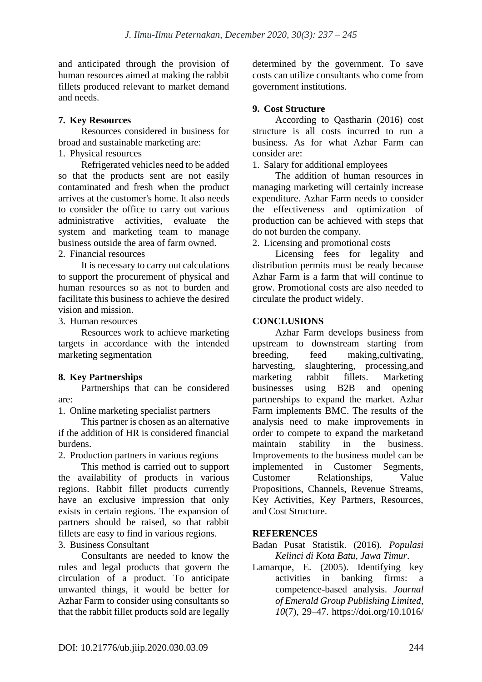and anticipated through the provision of human resources aimed at making the rabbit fillets produced relevant to market demand and needs.

# **7. Key Resources**

Resources considered in business for broad and sustainable marketing are:

1. Physical resources

Refrigerated vehicles need to be added so that the products sent are not easily contaminated and fresh when the product arrives at the customer's home. It also needs to consider the office to carry out various administrative activities, evaluate the system and marketing team to manage business outside the area of farm owned.

2. Financial resources

It is necessary to carry out calculations to support the procurement of physical and human resources so as not to burden and facilitate this business to achieve the desired vision and mission.

3. Human resources

Resources work to achieve marketing targets in accordance with the intended marketing segmentation

# **8. Key Partnerships**

Partnerships that can be considered are:

1. Online marketing specialist partners

This partner is chosen as an alternative if the addition of HR is considered financial burdens.

2. Production partners in various regions

This method is carried out to support the availability of products in various regions. Rabbit fillet products currently have an exclusive impression that only exists in certain regions. The expansion of partners should be raised, so that rabbit fillets are easy to find in various regions.

3. Business Consultant

Consultants are needed to know the rules and legal products that govern the circulation of a product. To anticipate unwanted things, it would be better for Azhar Farm to consider using consultants so that the rabbit fillet products sold are legally determined by the government. To save costs can utilize consultants who come from government institutions.

# **9. Cost Structure**

According to Qastharin (2016) cost structure is all costs incurred to run a business. As for what Azhar Farm can consider are:

1. Salary for additional employees

The addition of human resources in managing marketing will certainly increase expenditure. Azhar Farm needs to consider the effectiveness and optimization of production can be achieved with steps that do not burden the company.

2. Licensing and promotional costs

Licensing fees for legality and distribution permits must be ready because Azhar Farm is a farm that will continue to grow. Promotional costs are also needed to circulate the product widely.

# **CONCLUSIONS**

Azhar Farm develops business from upstream to downstream starting from breeding, feed making,cultivating, harvesting, slaughtering, processing,and marketing rabbit fillets. Marketing businesses using B2B and opening partnerships to expand the market. Azhar Farm implements BMC. The results of the analysis need to make improvements in order to compete to expand the marketand maintain stability in the business. Improvements to the business model can be implemented in Customer Segments, Customer Relationships, Value Propositions, Channels, Revenue Streams, Key Activities, Key Partners, Resources, and Cost Structure.

# **REFERENCES**

Badan Pusat Statistik. (2016). *Populasi Kelinci di Kota Batu, Jawa Timur*.

Lamarque, E. (2005). Identifying key activities in banking firms: a competence-based analysis. *Journal of Emerald Group Publishing Limited*, *10*(7), 29–47. https://doi.org/10.1016/